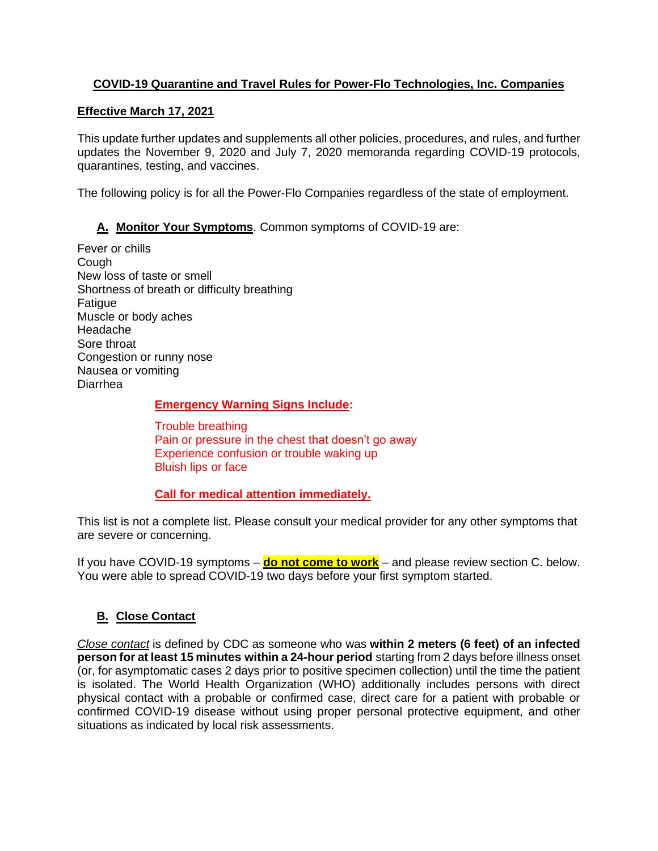### **COVID-19 Quarantine and Travel Rules for Power-Flo Technologies, Inc. Companies**

#### **Effective March 17, 2021**

This update further updates and supplements all other policies, procedures, and rules, and further updates the November 9, 2020 and July 7, 2020 memoranda regarding COVID-19 protocols, quarantines, testing, and vaccines.

The following policy is for all the Power-Flo Companies regardless of the state of employment.

**A. Monitor Your Symptoms**. Common symptoms of COVID-19 are:

Fever or chills **Cough** New loss of taste or smell Shortness of breath or difficulty breathing **Fatigue** Muscle or body aches Headache Sore throat Congestion or runny nose Nausea or vomiting Diarrhea

#### **Emergency Warning Signs Include:**

Trouble breathing Pain or pressure in the chest that doesn't go away Experience confusion or trouble waking up Bluish lips or face

#### **Call for medical attention immediately.**

This list is not a complete list. Please consult your medical provider for any other symptoms that are severe or concerning.

If you have COVID-19 symptoms – **do not come to work** – and please review section C. below. You were able to spread COVID-19 two days before your first symptom started.

### **B. Close Contact**

*[Close contact](https://www.cdc.gov/coronavirus/2019-ncov/php/contact-tracing/contact-tracing-plan/appendix.html#contact)* is defined by CDC as someone who was **within 2 meters (6 feet) of an infected person for at least 15 minutes within a 24-hour period** starting from 2 days before illness onset (or, for asymptomatic cases 2 days prior to positive specimen collection) until the time the patient is isolated. The World Health Organization (WHO) additionally includes persons with direct physical contact with a probable or confirmed case, direct care for a patient with probable or confirmed COVID-19 disease without using proper personal protective equipment, and other situations as indicated by local risk assessments.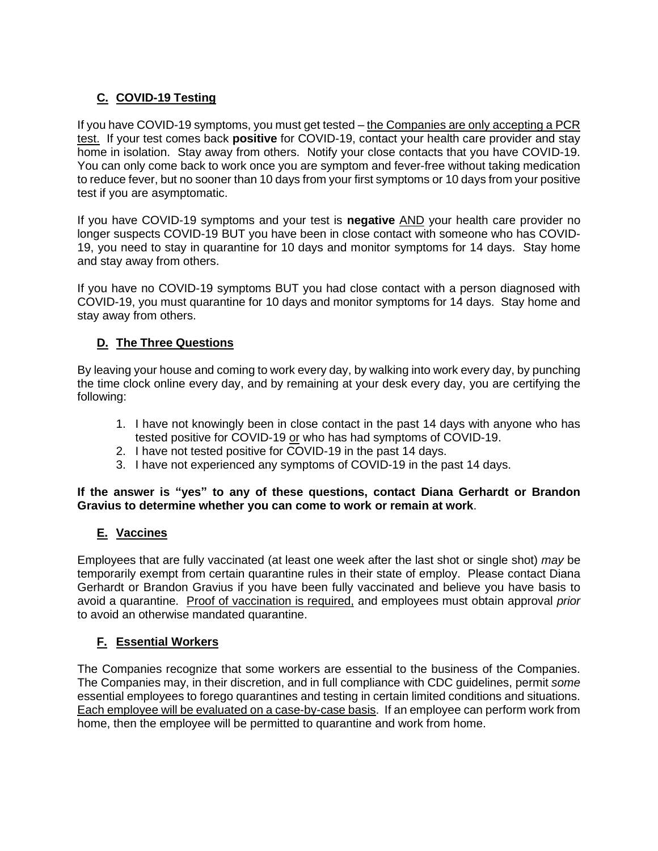# **C. COVID-19 Testing**

If you have COVID-19 symptoms, you must get tested – the Companies are only accepting a PCR test. If your test comes back **positive** for COVID-19, contact your health care provider and stay home in isolation. Stay away from others. Notify your close contacts that you have COVID-19. You can only come back to work once you are symptom and fever-free without taking medication to reduce fever, but no sooner than 10 days from your first symptoms or 10 days from your positive test if you are asymptomatic.

If you have COVID-19 symptoms and your test is **negative** AND your health care provider no longer suspects COVID-19 BUT you have been in close contact with someone who has COVID-19, you need to stay in quarantine for 10 days and monitor symptoms for 14 days. Stay home and stay away from others.

If you have no COVID-19 symptoms BUT you had close contact with a person diagnosed with COVID-19, you must quarantine for 10 days and monitor symptoms for 14 days. Stay home and stay away from others.

### **D. The Three Questions**

By leaving your house and coming to work every day, by walking into work every day, by punching the time clock online every day, and by remaining at your desk every day, you are certifying the following:

- 1. I have not knowingly been in close contact in the past 14 days with anyone who has tested positive for COVID-19 or who has had symptoms of COVID-19.
- 2. I have not tested positive for COVID-19 in the past 14 days.
- 3. I have not experienced any symptoms of COVID-19 in the past 14 days.

#### **If the answer is "yes" to any of these questions, contact Diana Gerhardt or Brandon Gravius to determine whether you can come to work or remain at work**.

### **E. Vaccines**

Employees that are fully vaccinated (at least one week after the last shot or single shot) *may* be temporarily exempt from certain quarantine rules in their state of employ. Please contact Diana Gerhardt or Brandon Gravius if you have been fully vaccinated and believe you have basis to avoid a quarantine. Proof of vaccination is required, and employees must obtain approval *prior* to avoid an otherwise mandated quarantine.

## **F. Essential Workers**

The Companies recognize that some workers are essential to the business of the Companies. The Companies may, in their discretion, and in full compliance with CDC guidelines, permit *some* essential employees to forego quarantines and testing in certain limited conditions and situations. Each employee will be evaluated on a case-by-case basis. If an employee can perform work from home, then the employee will be permitted to quarantine and work from home.